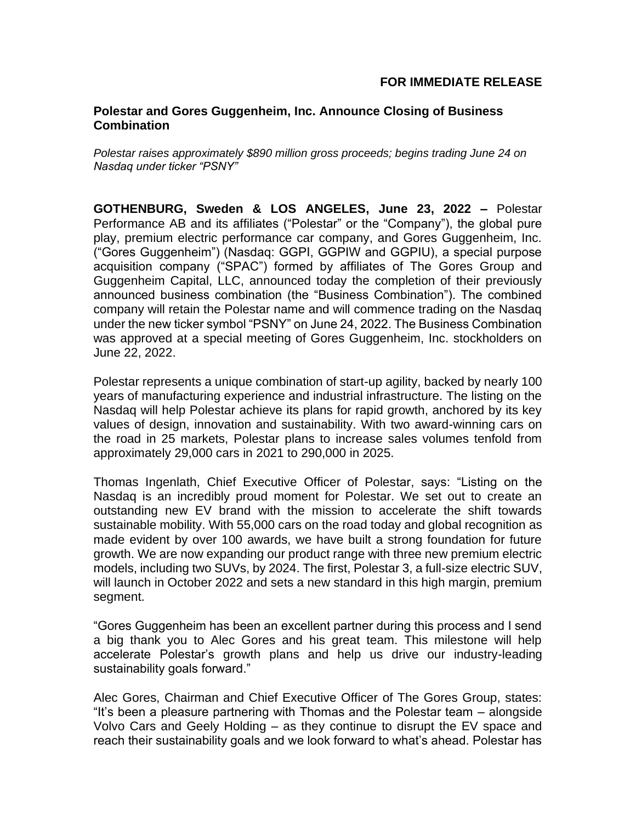# **Polestar and Gores Guggenheim, Inc. Announce Closing of Business Combination**

*Polestar raises approximately \$890 million gross proceeds; begins trading June 24 on Nasdaq under ticker "PSNY"*

**GOTHENBURG, Sweden & LOS ANGELES, June 23, 2022 –** Polestar Performance AB and its affiliates ("Polestar" or the "Company"), the global pure play, premium electric performance car company, and Gores Guggenheim, Inc. ("Gores Guggenheim") (Nasdaq: GGPI, GGPIW and GGPIU), a special purpose acquisition company ("SPAC") formed by affiliates of The Gores Group and Guggenheim Capital, LLC, announced today the completion of their previously announced business combination (the "Business Combination"). The combined company will retain the Polestar name and will commence trading on the Nasdaq under the new ticker symbol "PSNY" on June 24, 2022. The Business Combination was approved at a special meeting of Gores Guggenheim, Inc. stockholders on June 22, 2022.

Polestar represents a unique combination of start-up agility, backed by nearly 100 years of manufacturing experience and industrial infrastructure. The listing on the Nasdaq will help Polestar achieve its plans for rapid growth, anchored by its key values of design, innovation and sustainability. With two award-winning cars on the road in 25 markets, Polestar plans to increase sales volumes tenfold from approximately 29,000 cars in 2021 to 290,000 in 2025.

Thomas Ingenlath, Chief Executive Officer of Polestar, says: "Listing on the Nasdaq is an incredibly proud moment for Polestar. We set out to create an outstanding new EV brand with the mission to accelerate the shift towards sustainable mobility. With 55,000 cars on the road today and global recognition as made evident by over 100 awards, we have built a strong foundation for future growth. We are now expanding our product range with three new premium electric models, including two SUVs, by 2024. The first, Polestar 3, a full-size electric SUV, will launch in October 2022 and sets a new standard in this high margin, premium segment.

"Gores Guggenheim has been an excellent partner during this process and I send a big thank you to Alec Gores and his great team. This milestone will help accelerate Polestar's growth plans and help us drive our industry-leading sustainability goals forward."

Alec Gores, Chairman and Chief Executive Officer of The Gores Group, states: "It's been a pleasure partnering with Thomas and the Polestar team – alongside Volvo Cars and Geely Holding – as they continue to disrupt the EV space and reach their sustainability goals and we look forward to what's ahead. Polestar has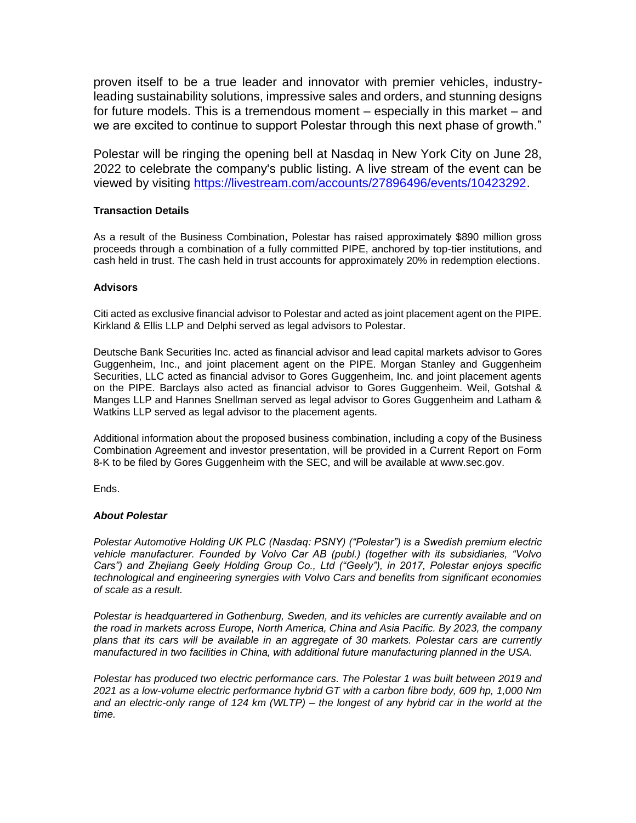proven itself to be a true leader and innovator with premier vehicles, industryleading sustainability solutions, impressive sales and orders, and stunning designs for future models. This is a tremendous moment – especially in this market – and we are excited to continue to support Polestar through this next phase of growth."

Polestar will be ringing the opening bell at Nasdaq in New York City on June 28, 2022 to celebrate the company's public listing. A live stream of the event can be viewed by visiting [https://livestream.com/accounts/27896496/events/10423292.](https://livestream.com/accounts/27896496/events/10423292)

# **Transaction Details**

As a result of the Business Combination, Polestar has raised approximately \$890 million gross proceeds through a combination of a fully committed PIPE, anchored by top-tier institutions, and cash held in trust. The cash held in trust accounts for approximately 20% in redemption elections.

### **Advisors**

Citi acted as exclusive financial advisor to Polestar and acted as joint placement agent on the PIPE. Kirkland & Ellis LLP and Delphi served as legal advisors to Polestar.

Deutsche Bank Securities Inc. acted as financial advisor and lead capital markets advisor to Gores Guggenheim, Inc., and joint placement agent on the PIPE. Morgan Stanley and Guggenheim Securities, LLC acted as financial advisor to Gores Guggenheim, Inc. and joint placement agents on the PIPE. Barclays also acted as financial advisor to Gores Guggenheim. Weil, Gotshal & Manges LLP and Hannes Snellman served as legal advisor to Gores Guggenheim and Latham & Watkins LLP served as legal advisor to the placement agents.

Additional information about the proposed business combination, including a copy of the Business Combination Agreement and investor presentation, will be provided in a Current Report on Form 8-K to be filed by Gores Guggenheim with the SEC, and will be available at www.sec.gov.

Ends.

## *About Polestar*

*Polestar Automotive Holding UK PLC (Nasdaq: PSNY) ("Polestar") is a Swedish premium electric vehicle manufacturer. Founded by Volvo Car AB (publ.) (together with its subsidiaries, "Volvo Cars") and Zhejiang Geely Holding Group Co., Ltd ("Geely"), in 2017, Polestar enjoys specific technological and engineering synergies with Volvo Cars and benefits from significant economies of scale as a result.*

*Polestar is headquartered in Gothenburg, Sweden, and its vehicles are currently available and on the road in markets across Europe, North America, China and Asia Pacific. By 2023, the company plans that its cars will be available in an aggregate of 30 markets. Polestar cars are currently manufactured in two facilities in China, with additional future manufacturing planned in the USA.*

*Polestar has produced two electric performance cars. The Polestar 1 was built between 2019 and 2021 as a low-volume electric performance hybrid GT with a carbon fibre body, 609 hp, 1,000 Nm and an electric-only range of 124 km (WLTP) – the longest of any hybrid car in the world at the time.*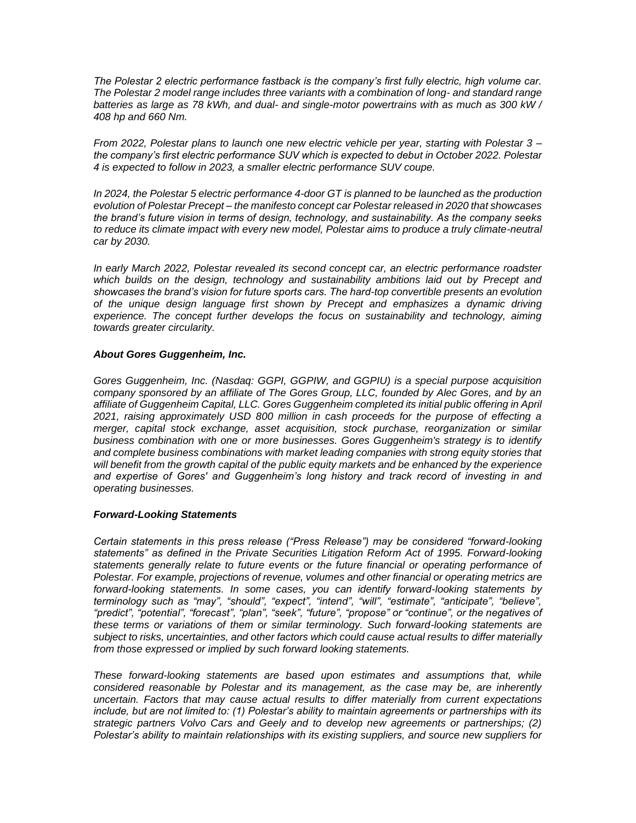*The Polestar 2 electric performance fastback is the company's first fully electric, high volume car. The Polestar 2 model range includes three variants with a combination of long- and standard range batteries as large as 78 kWh, and dual- and single-motor powertrains with as much as 300 kW / 408 hp and 660 Nm.*

*From 2022, Polestar plans to launch one new electric vehicle per year, starting with Polestar 3 – the company's first electric performance SUV which is expected to debut in October 2022. Polestar 4 is expected to follow in 2023, a smaller electric performance SUV coupe.*

*In 2024, the Polestar 5 electric performance 4-door GT is planned to be launched as the production evolution of Polestar Precept – the manifesto concept car Polestar released in 2020 that showcases the brand's future vision in terms of design, technology, and sustainability. As the company seeks to reduce its climate impact with every new model, Polestar aims to produce a truly climate-neutral car by 2030.*

*In early March 2022, Polestar revealed its second concept car, an electric performance roadster*  which builds on the design, technology and sustainability ambitions laid out by Precept and *showcases the brand's vision for future sports cars. The hard-top convertible presents an evolution of the unique design language first shown by Precept and emphasizes a dynamic driving experience. The concept further develops the focus on sustainability and technology, aiming towards greater circularity.*

# *About Gores Guggenheim, Inc.*

*Gores Guggenheim, Inc. (Nasdaq: GGPI, GGPIW, and GGPIU) is a special purpose acquisition company sponsored by an affiliate of The Gores Group, LLC, founded by Alec Gores, and by an affiliate of Guggenheim Capital, LLC. Gores Guggenheim completed its initial public offering in April 2021, raising approximately USD 800 million in cash proceeds for the purpose of effecting a merger, capital stock exchange, asset acquisition, stock purchase, reorganization or similar business combination with one or more businesses. Gores Guggenheim's strategy is to identify and complete business combinations with market leading companies with strong equity stories that will benefit from the growth capital of the public equity markets and be enhanced by the experience and expertise of Gores' and Guggenheim's long history and track record of investing in and operating businesses.*

# *Forward-Looking Statements*

*Certain statements in this press release ("Press Release") may be considered "forward-looking statements" as defined in the Private Securities Litigation Reform Act of 1995. Forward-looking statements generally relate to future events or the future financial or operating performance of Polestar. For example, projections of revenue, volumes and other financial or operating metrics are forward-looking statements. In some cases, you can identify forward-looking statements by terminology such as "may", "should", "expect", "intend", "will", "estimate", "anticipate", "believe", "predict", "potential", "forecast", "plan", "seek", "future", "propose" or "continue", or the negatives of these terms or variations of them or similar terminology. Such forward-looking statements are subject to risks, uncertainties, and other factors which could cause actual results to differ materially from those expressed or implied by such forward looking statements.*

*These forward-looking statements are based upon estimates and assumptions that, while considered reasonable by Polestar and its management, as the case may be, are inherently uncertain. Factors that may cause actual results to differ materially from current expectations include, but are not limited to: (1) Polestar's ability to maintain agreements or partnerships with its strategic partners Volvo Cars and Geely and to develop new agreements or partnerships; (2) Polestar's ability to maintain relationships with its existing suppliers, and source new suppliers for*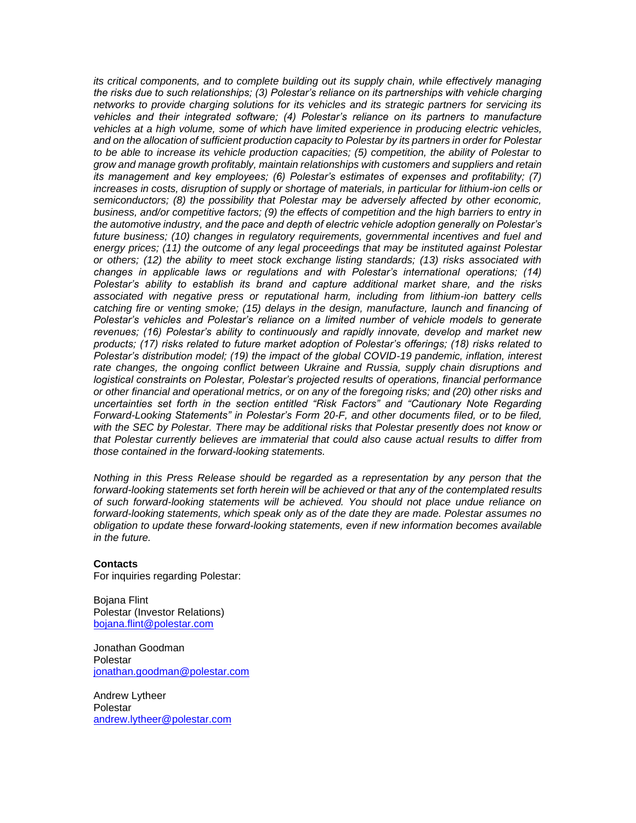*its critical components, and to complete building out its supply chain, while effectively managing the risks due to such relationships; (3) Polestar's reliance on its partnerships with vehicle charging networks to provide charging solutions for its vehicles and its strategic partners for servicing its vehicles and their integrated software; (4) Polestar's reliance on its partners to manufacture vehicles at a high volume, some of which have limited experience in producing electric vehicles, and on the allocation of sufficient production capacity to Polestar by its partners in order for Polestar to be able to increase its vehicle production capacities; (5) competition, the ability of Polestar to grow and manage growth profitably, maintain relationships with customers and suppliers and retain its management and key employees; (6) Polestar's estimates of expenses and profitability; (7) increases in costs, disruption of supply or shortage of materials, in particular for lithium-ion cells or semiconductors; (8) the possibility that Polestar may be adversely affected by other economic, business, and/or competitive factors; (9) the effects of competition and the high barriers to entry in the automotive industry, and the pace and depth of electric vehicle adoption generally on Polestar's future business; (10) changes in regulatory requirements, governmental incentives and fuel and energy prices; (11) the outcome of any legal proceedings that may be instituted against Polestar or others; (12) the ability to meet stock exchange listing standards; (13) risks associated with changes in applicable laws or regulations and with Polestar's international operations; (14) Polestar's ability to establish its brand and capture additional market share, and the risks associated with negative press or reputational harm, including from lithium-ion battery cells catching fire or venting smoke; (15) delays in the design, manufacture, launch and financing of Polestar's vehicles and Polestar's reliance on a limited number of vehicle models to generate revenues; (16) Polestar's ability to continuously and rapidly innovate, develop and market new products; (17) risks related to future market adoption of Polestar's offerings; (18) risks related to Polestar's distribution model; (19) the impact of the global COVID-19 pandemic, inflation, interest rate changes, the ongoing conflict between Ukraine and Russia, supply chain disruptions and logistical constraints on Polestar, Polestar's projected results of operations, financial performance or other financial and operational metrics, or on any of the foregoing risks; and (20) other risks and uncertainties set forth in the section entitled "Risk Factors" and "Cautionary Note Regarding Forward-Looking Statements" in Polestar's Form 20-F, and other documents filed, or to be filed, with the SEC by Polestar. There may be additional risks that Polestar presently does not know or that Polestar currently believes are immaterial that could also cause actual results to differ from those contained in the forward-looking statements.*

*Nothing in this Press Release should be regarded as a representation by any person that the forward-looking statements set forth herein will be achieved or that any of the contemplated results of such forward-looking statements will be achieved. You should not place undue reliance on forward-looking statements, which speak only as of the date they are made. Polestar assumes no obligation to update these forward-looking statements, even if new information becomes available in the future.*

### **Contacts**

For inquiries regarding Polestar:

Bojana Flint Polestar (Investor Relations) [bojana.flint@polestar.com](mailto:bojana.flint@polestar.com)

Jonathan Goodman Polestar [jonathan.goodman@polestar.com](mailto:jonathan.goodman@polestar.com)

Andrew Lytheer Polestar [andrew.lytheer@polestar.com](mailto:andrew.lytheer@polestar.com)